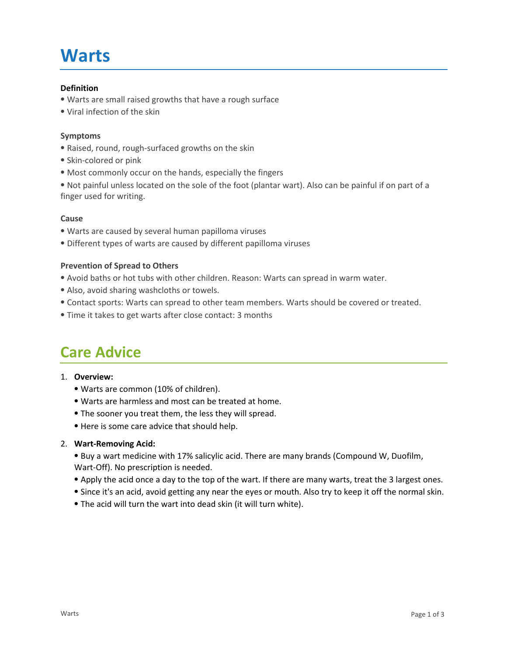# **Warts**

#### **Definition**

- ⦁ Warts are small raised growths that have a rough surface
- ⦁ Viral infection of the skin

#### **Symptoms**

- ⦁ Raised, round, rough-surfaced growths on the skin
- ⦁ Skin-colored or pink
- ⦁ Most commonly occur on the hands, especially the fingers

⦁ Not painful unless located on the sole of the foot (plantar wart). Also can be painful if on part of a finger used for writing.

#### **Cause**

- ⦁ Warts are caused by several human papilloma viruses
- ⦁ Different types of warts are caused by different papilloma viruses

#### **Prevention of Spread to Others**

- ⦁ Avoid baths or hot tubs with other children. Reason: Warts can spread in warm water.
- ⦁ Also, avoid sharing washcloths or towels.
- ⦁ Contact sports: Warts can spread to other team members. Warts should be covered or treated.
- ⦁ Time it takes to get warts after close contact: 3 months

### **Care Advice**

#### **Overview:** 1.

- ⦁ Warts are common (10% of children).
- ⦁ Warts are harmless and most can be treated at home.
- ⦁ The sooner you treat them, the less they will spread.
- ⦁ Here is some care advice that should help.

#### **Wart-Removing Acid:** 2.

⦁ Buy a wart medicine with 17% salicylic acid. There are many brands (Compound W, Duofilm, Wart-Off). No prescription is needed.

- ⦁ Apply the acid once a day to the top of the wart. If there are many warts, treat the 3 largest ones.
- ⦁ Since it's an acid, avoid getting any near the eyes or mouth. Also try to keep it off the normal skin.
- ⦁ The acid will turn the wart into dead skin (it will turn white).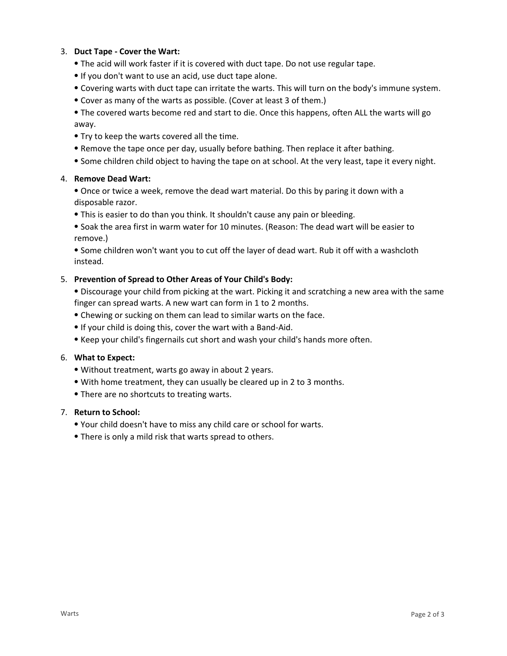#### **Duct Tape - Cover the Wart:** 3.

- ⦁ The acid will work faster if it is covered with duct tape. Do not use regular tape.
- ⦁ If you don't want to use an acid, use duct tape alone.
- ⦁ Covering warts with duct tape can irritate the warts. This will turn on the body's immune system.
- ⦁ Cover as many of the warts as possible. (Cover at least 3 of them.)

⦁ The covered warts become red and start to die. Once this happens, often ALL the warts will go away.

- ⦁ Try to keep the warts covered all the time.
- ⦁ Remove the tape once per day, usually before bathing. Then replace it after bathing.
- ⦁ Some children child object to having the tape on at school. At the very least, tape it every night.

#### **Remove Dead Wart:** 4.

⦁ Once or twice a week, remove the dead wart material. Do this by paring it down with a disposable razor.

⦁ This is easier to do than you think. It shouldn't cause any pain or bleeding.

⦁ Soak the area first in warm water for 10 minutes. (Reason: The dead wart will be easier to remove.)

⦁ Some children won't want you to cut off the layer of dead wart. Rub it off with a washcloth instead.

#### **Prevention of Spread to Other Areas of Your Child's Body:** 5.

⦁ Discourage your child from picking at the wart. Picking it and scratching a new area with the same finger can spread warts. A new wart can form in 1 to 2 months.

- ⦁ Chewing or sucking on them can lead to similar warts on the face.
- ⦁ If your child is doing this, cover the wart with a Band-Aid.
- ⦁ Keep your child's fingernails cut short and wash your child's hands more often.

#### **What to Expect:** 6.

- ⦁ Without treatment, warts go away in about 2 years.
- ⦁ With home treatment, they can usually be cleared up in 2 to 3 months.
- ⦁ There are no shortcuts to treating warts.

#### **Return to School:** 7.

- ⦁ Your child doesn't have to miss any child care or school for warts.
- ⦁ There is only a mild risk that warts spread to others.